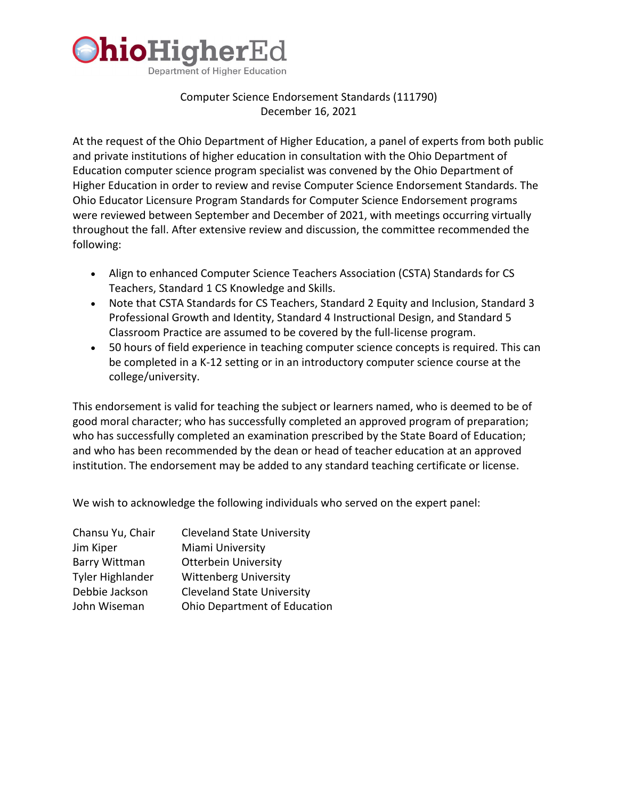

# Computer Science Endorsement Standards (111790) December 16, 2021

At the request of the Ohio Department of Higher Education, a panel of experts from both public and private institutions of higher education in consultation with the Ohio Department of Education computer science program specialist was convened by the Ohio Department of Higher Education in order to review and revise Computer Science Endorsement Standards. The Ohio Educator Licensure Program Standards for Computer Science Endorsement programs were reviewed between September and December of 2021, with meetings occurring virtually throughout the fall. After extensive review and discussion, the committee recommended the following:

- Align to enhanced Computer Science Teachers Association (CSTA) Standards for CS Teachers, Standard 1 CS Knowledge and Skills.
- Note that CSTA Standards for CS Teachers, Standard 2 Equity and Inclusion, Standard 3 Professional Growth and Identity, Standard 4 Instructional Design, and Standard 5 Classroom Practice are assumed to be covered by the full-license program.
- 50 hours of field experience in teaching computer science concepts is required. This can be completed in a K-12 setting or in an introductory computer science course at the college/university.

This endorsement is valid for teaching the subject or learners named, who is deemed to be of good moral character; who has successfully completed an approved program of preparation; who has successfully completed an examination prescribed by the State Board of Education; and who has been recommended by the dean or head of teacher education at an approved institution. The endorsement may be added to any standard teaching certificate or license.

We wish to acknowledge the following individuals who served on the expert panel:

| Chansu Yu, Chair        | <b>Cleveland State University</b> |
|-------------------------|-----------------------------------|
| Jim Kiper               | Miami University                  |
| <b>Barry Wittman</b>    | <b>Otterbein University</b>       |
| <b>Tyler Highlander</b> | <b>Wittenberg University</b>      |
| Debbie Jackson          | <b>Cleveland State University</b> |
| John Wiseman            | Ohio Department of Education      |